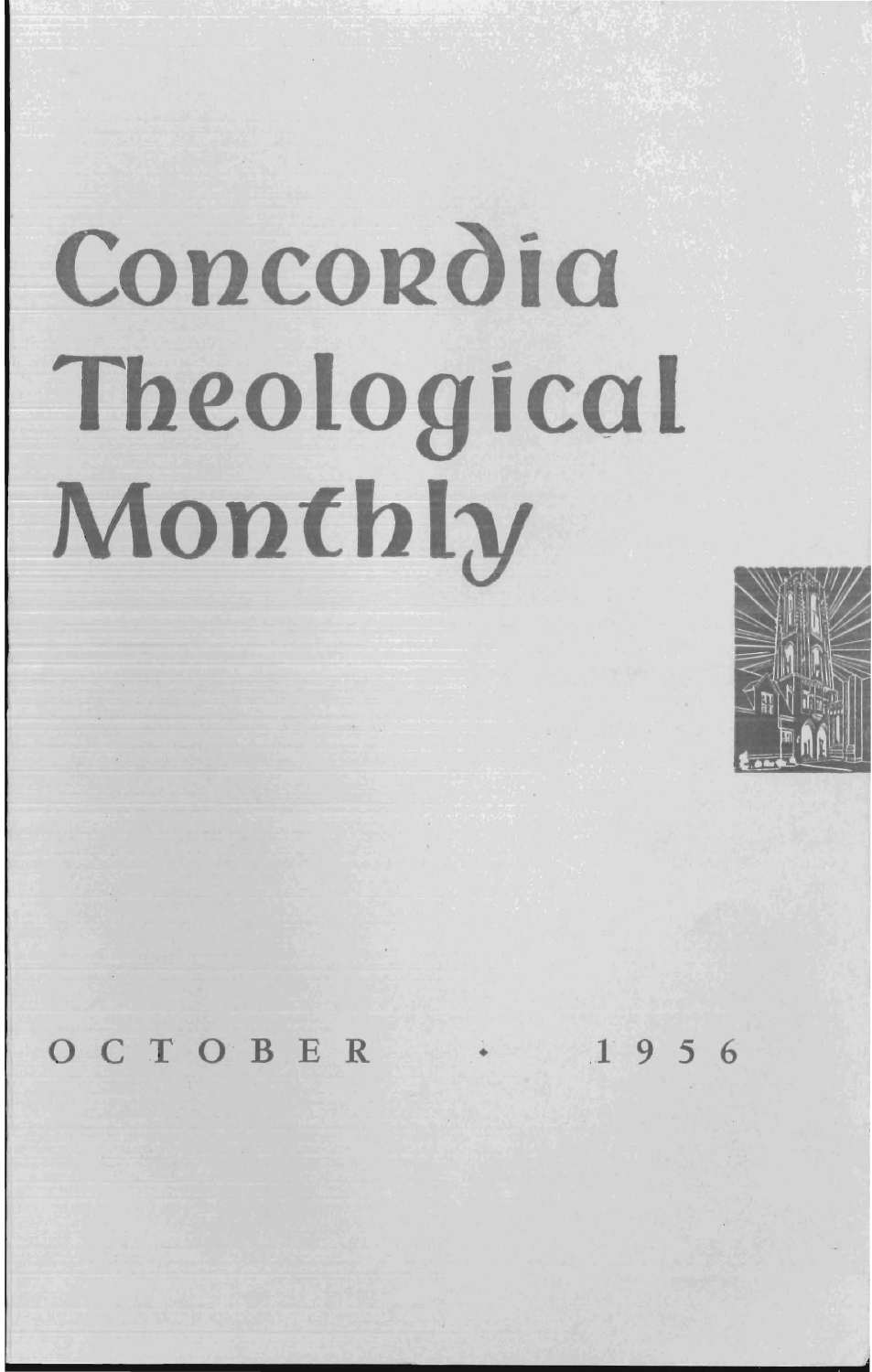# Concordia Theological Monthly



OCTOBER  $1956$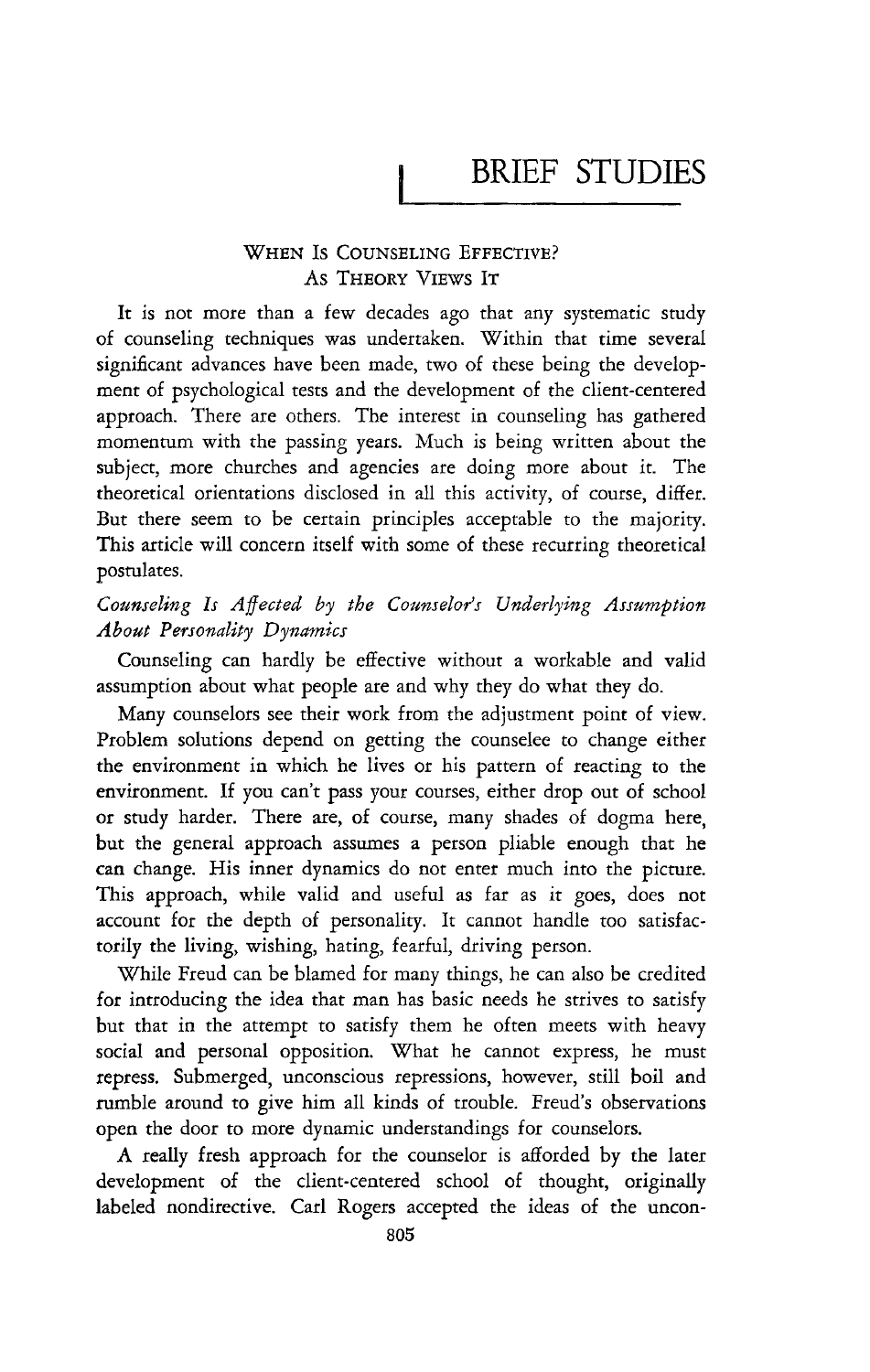# **BRIEF STUDIES**

## WHEN Is COUNSELING EFFECTIVE? As THEORY VIEWS IT

**It** is not more than a few decades ago that any systematic study of counseling techniques was undertaken. Within that time several significant advances have been made, two of these being the development of psychological tests and the development of the client-centered approach. There are others. The interest in counseling has gathered momentum with the passing years. Much is being written about the subject, more churches and agencies are doing more about it. The theoretical orientations disclosed in all this activity, of course, differ. But there seem to be certain principles acceptable to the majority. This article will concern itself with some of these recurring theoretical postulates.

# *Counseling Is Affected by the Counselor's Underlying Assumption About Personality Dynamics*

Counseling can hardly be effective without a workable and valid assumption about what people are and why they do what they do.

Many counselors see their work from the adjustment point of view. Problem solutions depend on getting the counselee to change either the environment in which he lives or *his* pattern of reacting to the environment. If you can't pass your courses, either drop out of school or study harder. There are, of course, many shades of dogma here, but the general approach assumes a person pliable enough that he can change. His inner dynamics do not enter much into the picture. This approach, while valid and useful as far as it goes, does not account for the depth of personality. It cannot handle too satisfactorily the living, wishing, hating, fearful, driving person.

While Freud can be blamed for many things, he can also be credited for introducing the idea that man has basic needs he strives to satisfy but that in the attempt to satisfy them he often meets with heavy social and personal opposition. What he cannot express, he must repress. Submerged, unconscious repressions, however, still boil and rumble around to give him all kinds of trouble. Freud's observations open the door to more dynamic understandings for counselors.

A really fresh approach for the counselor is afforded by the later development of the client-centered school of thought, originally labeled nondirective. Carl Rogers accepted the ideas of the uncon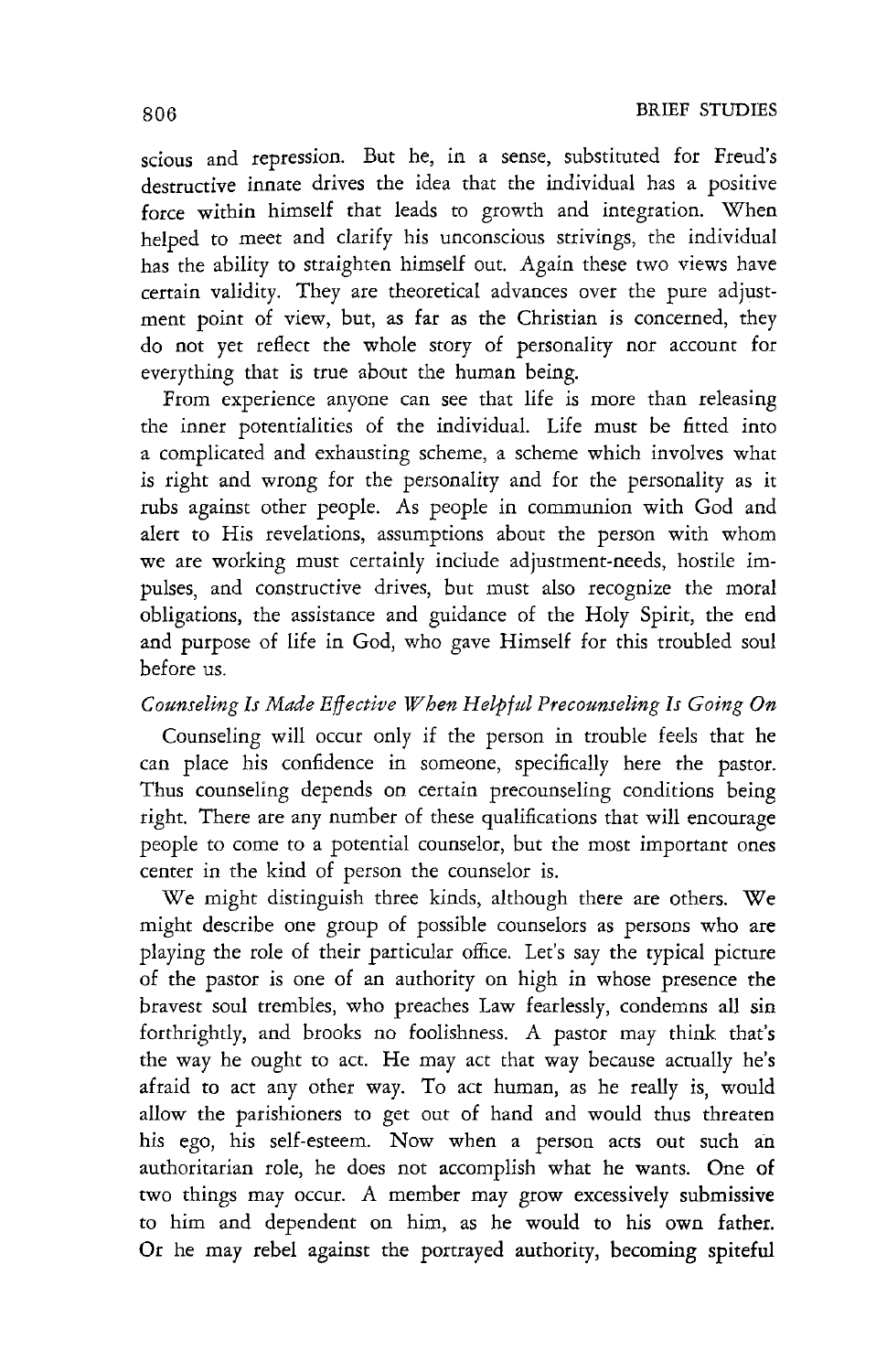scious and repression. But he, in a sense, substituted for Freud's destructive innate drives the idea that the individual has a positive force within himself that leads to growth and integration. When helped to meet and clarify his unconscious strivings, the individual has the ability to straighten himself out. Again these two views have certain validity. They are theoretical advances over the pure adjustment point of view, but, as far as the Christian is concerned, they do not yet reflect the whole story of personality nor account for everything that is true about the human being.

From experience anyone can see that life is more than releasing the inner potentialities of the individual. Life must be fitted into a complicated and exhausting scheme, a scheme which involves what is right and wrong for the personality and for the personality as it rubs against other people. As people in communion with God and alert to His revelations, assumptions about the person with whom we are working must certainly include adjustment-needs, hostile impulses, and constructive drives, but must also recognize the moral obligations, the assistance and guidance of the Holy Spirit, the end and purpose of life in God, who gave Himself for this troubled soul before us.

# *Counseling Is Made Effective When Helpful Precounseling Is Going On*

Counseling will occur only if the person in trouble feels that he can place his confidence in someone, specifically here the pastor. Thus counseling depends on certain precounseling conditions being right. There are any number of these qualifications that will encourage people to come to a potential counselor, but the most important ones center in the kind of person the counselor is.

We might distinguish three kinds, although there are others. We might describe one group of possible counselors as persons who are playing the role of their particular office. Let's say the typical picture of the pastor is one of an authority on high in whose presence the bravest soul trembles, who preaches Law fearlessly, condemns all sin forthrightly, and brooks no foolishness. A pastor may think that's the way he ought to act. He may act that way because actually he's afraid to act any other way. To act human, as he really is, would allow the parishioners to get out of hand and would thus threaten his ego, his self-esteem. Now when a person acts out such an authoritarian role, he does not accomplish what he wants. One of two things may occur. A member may grow excessively submissive to him and dependent on him, as he would to his own father. Or he may rebel against the portrayed authority, becoming spiteful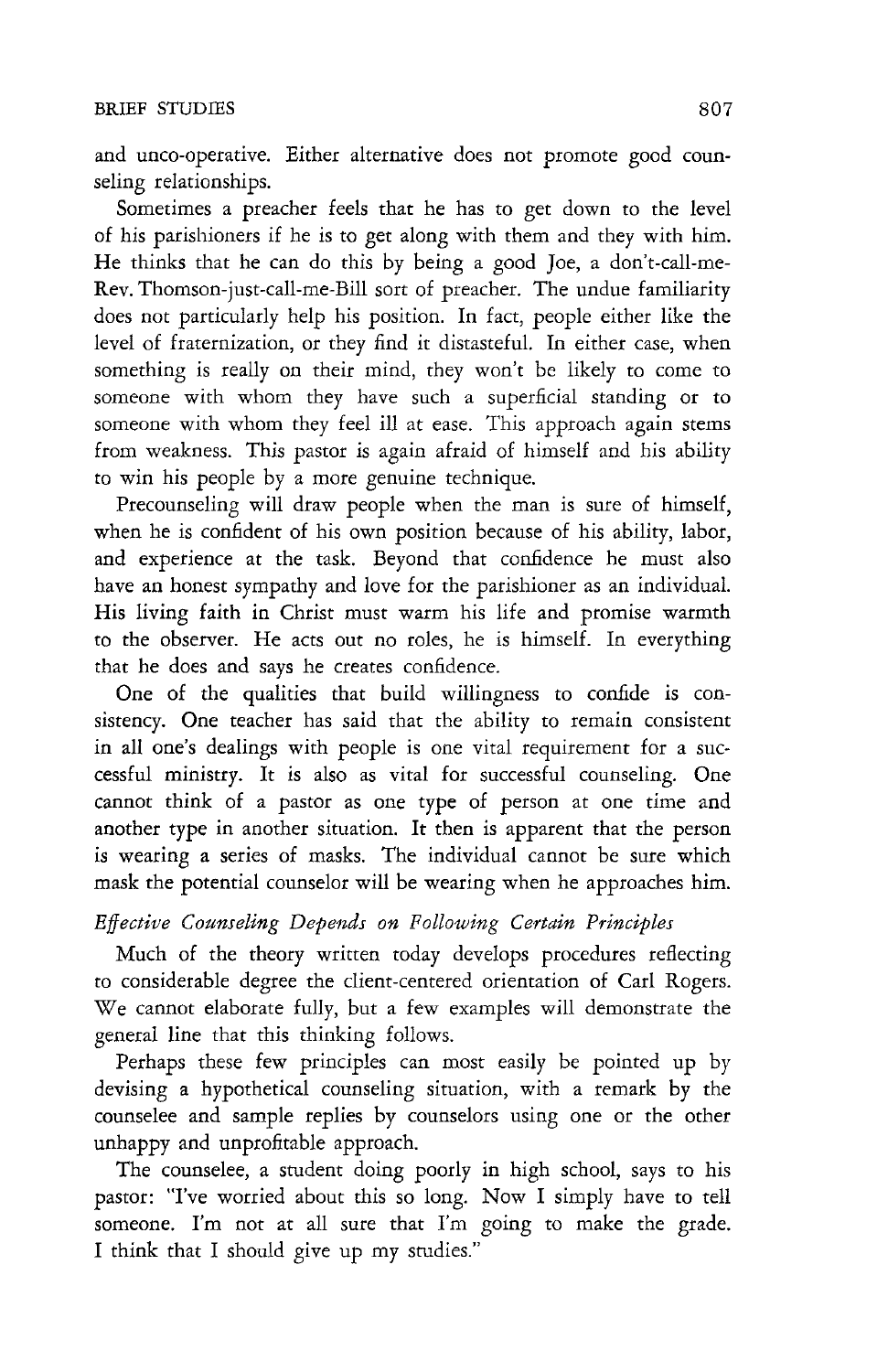and unco-operative. Either alternative does not promote good counseling relationships.

Sometimes a preacher feels that he has to get down to the level of his parishioners if he is to get along with them and they with him. He thinks that he can do this by being a good Joe, a don't-call-me-Rev. Thomson-just-call-me-Bill sort of preacher. The undue familiarity does not particularly help his position. In fact, people either like the level of fraternization, or they find it distasteful. In either case, when something is really on their mind, they won't be likely to come to someone with whom they have such a superficial standing or to someone with whom they feel ill at ease. This approach again stems from weakness. This pastor is again afraid of himself and his ability to win his people by a more genuine technique.

Precounseling will draw people when the man is sure of himself, when he is confident of his own position because of his ability, labor, and experience at the task. Beyond that confidence he must also have an honest sympathy and love for the parishioner as an individuaL His living faith in Christ must warm his life and promise warmth to the observer. He acts out no roles, he is himself. In everything that he does and says he creates confidence.

One of the qualities that build willingness to confide is consistency. One teacher has said that the ability to remain consistent in all one's dealings with people is one vital requirement for a successful ministry. It is also as vital for successful counseling. One cannot think of a pastor as one type of person at one time and another type in another situation. It then is apparent that the person is wearing a series of masks. The individual cannot be sure which mask the potential counselor will be wearing when he approaches him.

## *Effective Counseling Depends on Following Certain Principles*

Much of the theory written today develops procedures reflecting to considerable degree the client-centered orientation of Carl Rogers. We cannot elaborate fully, but a few examples will demonstrate the general line that this thinking follows.

Perhaps these few principles can most easily be pointed up by devising a hypothetical counseling situation, with a remark by the counselee and sample replies by counselors using one or the other unhappy and unprofitable approach.

The counselee, a student doing poorly in high school, says to his pastor: "I've worried about this so long. Now I simply have to tell someone. I'm not at all sure that I'm going to make the grade. I think that I should give up my studies."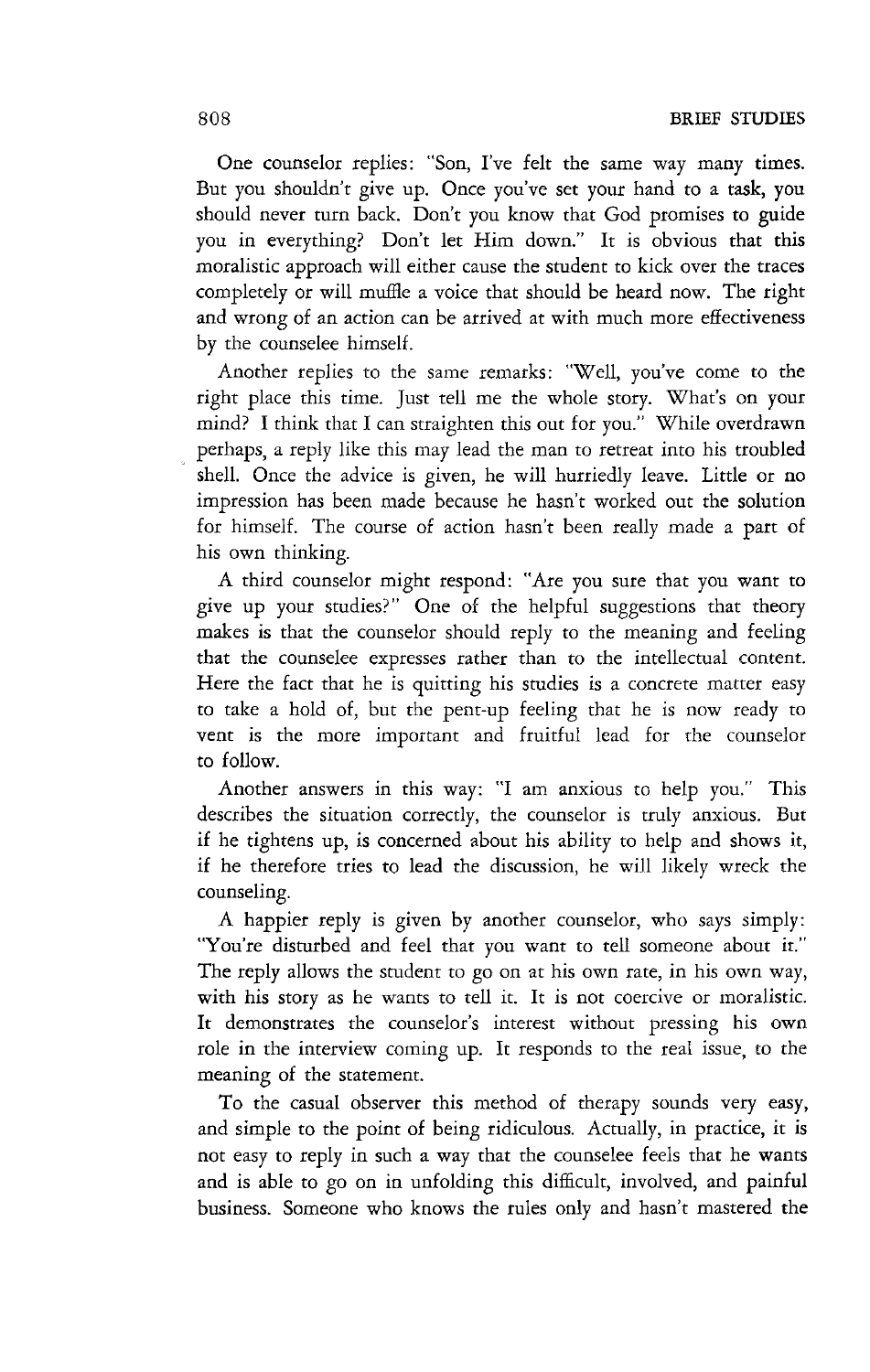One counselor replies: "Son, I've felt the same way many times. But you shouldn't give up. Once you've set your hand to a task, you should never turn back. Don't you know that God promises to guide you in everything? Don't let Him down." It is obvious that this moralistic approach will either cause the student to kick over the traces completely or will muffle a voice that should be heard now. The right and wrong of an action can be arrived at with much more effectiveness by tbe counselee himself.

Another replies to the same remarks: "Well, you've come to the right place this time. Just tell me the whole story. What's on your mind? I think that I can straighten this out for you." While overdrawn perhaps, a reply like this may lead the man to retreat into his troubled shell. Once the advice is given, he will hurriedly leave. Little or no impression has been made because he hasn't worked out the solution for himself. The course of action hasn't been really made a part of his own thinking.

A third counselor might respond: "Are you sure that you want to give up your studies?" One of the helpful suggestions that theory makes is that the counselor should reply to the meaning and feeling that the counselee expresses rather than to the intellectual content. Here the fact that he is quitting his studies is a concrete matter easy to take a hold of, but the pent-up feeling that he is now ready to vent is the more important and fruitful lead for the counselor to follow.

Another answers in this way: "I am anxious to help you." This describes the situation correctly, the counselor is truly anxious. But if he tightens up, is concerned about his ability to help and shows it, if he therefore tries to lead the discussion, he will likely wreck the counseling.

A happier reply is given by another counselor, who says simply: "You're disturbed and feel that you want to tell someone about it." The reply allows the student to go on at his own rate, in his own way, with his story as he wants to tell it. It is not coercive or moralistic. It demonstrates the counselor's interest without pressing his own role in the interview coming up. It responds to the real issue, to the meaning of the statement.

To the casual observer this method of therapy sounds very easy, and simple to the point of being ridiculous. Actually, in practice, it is not easy to reply in such a way that the counselee feels that he wants and is able to go on in unfolding this difficult, involved, and painful business. Someone who knows the rules only and hasn't mastered the